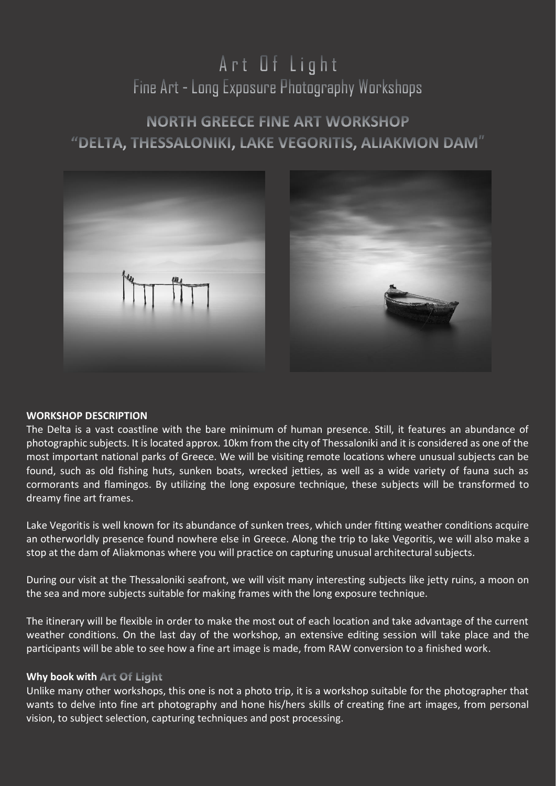# Art Of Light Fine Art - Long Exposure Photography Workshops

# **NORTH GREECE FINE ART WORKSHOP** "DELTA, THESSALONIKI, LAKE VEGORITIS, ALIAKMON DAM"



#### **WORKSHOP DESCRIPTION**

The Delta is a vast coastline with the bare minimum of human presence. Still, it features an abundance of photographic subjects. It is located approx. 10km from the city of Thessaloniki and it is considered as one of the most important national parks of Greece. We will be visiting remote locations where unusual subjects can be found, such as old fishing huts, sunken boats, wrecked jetties, as well as a wide variety of fauna such as cormorants and flamingos. By utilizing the long exposure technique, these subjects will be transformed to dreamy fine art frames.

Lake Vegoritis is well known for its abundance of sunken trees, which under fitting weather conditions acquire an otherworldly presence found nowhere else in Greece. Along the trip to lake Vegoritis, we will also make a stop at the dam of Aliakmonas where you will practice on capturing unusual architectural subjects.

During our visit at the Thessaloniki seafront, we will visit many interesting subjects like jetty ruins, a moon on the sea and more subjects suitable for making frames with the long exposure technique.

The itinerary will be flexible in order to make the most out of each location and take advantage of the current weather conditions. On the last day of the workshop, an extensive editing session will take place and the participants will be able to see how a fine art image is made, from RAW conversion to a finished work.

#### **Why book with Art Of Light**

Unlike many other workshops, this one is not a photo trip, it is a workshop suitable for the photographer that wants to delve into fine art photography and hone his/hers skills of creating fine art images, from personal vision, to subject selection, capturing techniques and post processing.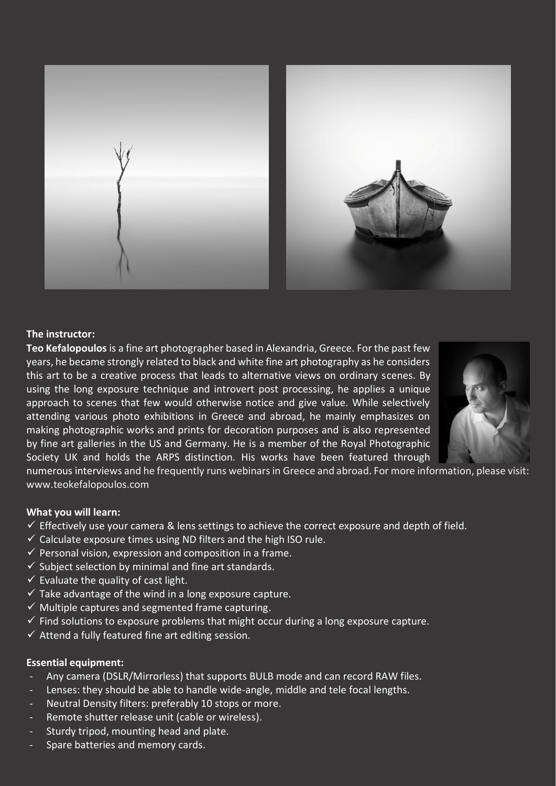

#### **The instructor:**

**Teo Kefalopoulos** is a fine art photographer based in Alexandria, Greece. For the past few years, he became strongly related to black and white fine art photography as he considers this art to be a creative process that leads to alternative views on ordinary scenes. By using the long exposure technique and introvert post processing, he applies a unique approach to scenes that few would otherwise notice and give value. While selectively attending various photo exhibitions in Greece and abroad, he mainly emphasizes on making photographic works and prints for decoration purposes and is also represented by fine art galleries in the US and Germany. He is a member of the Royal Photographic Society UK and holds the ARPS distinction. His works have been featured through



numerous interviews and he frequently runs webinarsin Greece and abroad. For more information, please visit: [www.teokefalopoulos.com](http://www.teokefalopoulos.com/)

#### **What you will learn:**

- $\checkmark$  Effectively use your camera & lens settings to achieve the correct exposure and depth of field.
- $\checkmark$  Calculate exposure times using ND filters and the high ISO rule.
- $\checkmark$  Personal vision, expression and composition in a frame.
- $\checkmark$  Subject selection by minimal and fine art standards.
- $\checkmark$  Evaluate the quality of cast light.
- $\checkmark$  Take advantage of the wind in a long exposure capture.
- $\checkmark$  Multiple captures and segmented frame capturing.
- $\checkmark$  Find solutions to exposure problems that might occur during a long exposure capture.
- $\checkmark$  Attend a fully featured fine art editing session.

#### **Essential equipment:**

- Any camera (DSLR/Mirrorless) that supports BULB mode and can record RAW files.
- Lenses: they should be able to handle wide-angle, middle and tele focal lengths.
- Neutral Density filters: preferably 10 stops or more.
- Remote shutter release unit (cable or wireless).
- Sturdy tripod, mounting head and plate.
- Spare batteries and memory cards.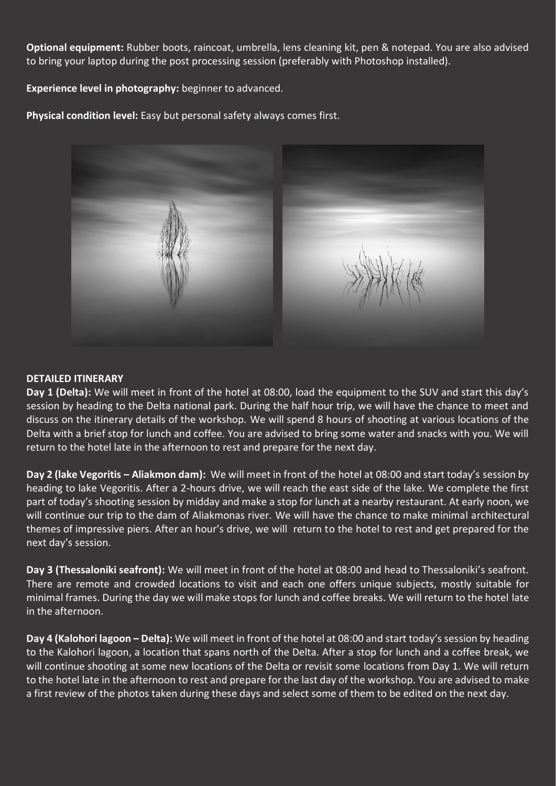**Optional equipment:** Rubber boots, raincoat, umbrella, lens cleaning kit, pen & notepad. You are also advised to bring your laptop during the post processing session (preferably with Photoshop installed).

**Experience level in photography:** beginner to advanced.

**Physical condition level:** Easy but personal safety always comes first.



#### **DETAILED ITINERARY**

**Day 1 (Delta):** We will meet in front of the hotel at 08:00, load the equipment to the SUV and start this day's session by heading to the Delta national park. During the half hour trip, we will have the chance to meet and discuss on the itinerary details of the workshop. We will spend 8 hours of shooting at various locations of the Delta with a brief stop for lunch and coffee. You are advised to bring some water and snacks with you. We will return to the hotel late in the afternoon to rest and prepare for the next day.

**Day 2 (lake Vegoritis – Aliakmon dam):** We will meet in front of the hotel at 08:00 and start today's session by heading to lake Vegoritis. After a 2-hours drive, we will reach the east side of the lake. We complete the first part of today's shooting session by midday and make a stop for lunch at a nearby restaurant. At early noon, we will continue our trip to the dam of Aliakmonas river. We will have the chance to make minimal architectural themes of impressive piers. After an hour's drive, we will return to the hotel to rest and get prepared for the next day's session.

**Day 3 (Thessaloniki seafront):** We will meet in front of the hotel at 08:00 and head to Thessaloniki's seafront. There are remote and crowded locations to visit and each one offers unique subjects, mostly suitable for minimal frames. During the day we will make stops for lunch and coffee breaks. We will return to the hotel late in the afternoon.

**Day 4 (Kalohori lagoon – Delta):** We will meet in front of the hotel at 08:00 and start today's session by heading to the Kalohori lagoon, a location that spans north of the Delta. After a stop for lunch and a coffee break, we will continue shooting at some new locations of the Delta or revisit some locations from Day 1. We will return to the hotel late in the afternoon to rest and prepare for the last day of the workshop. You are advised to make a first review of the photos taken during these days and select some of them to be edited on the next day.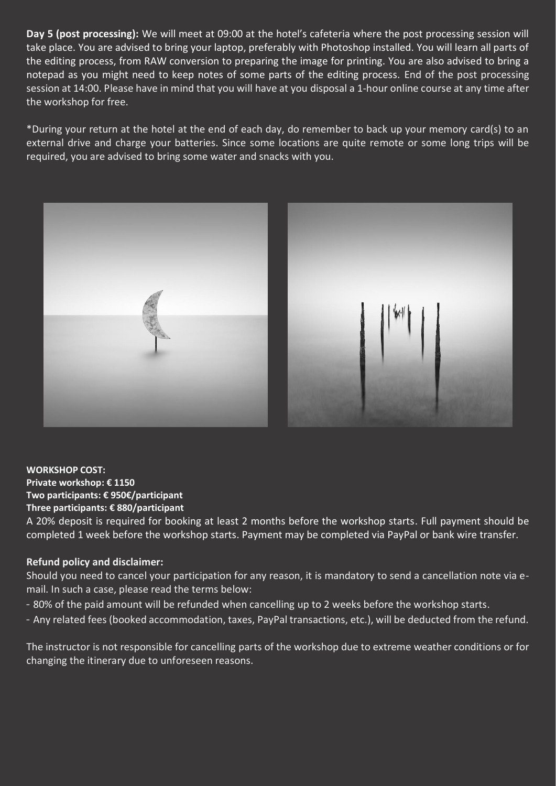**Day 5 (post processing):** We will meet at 09:00 at the hotel's cafeteria where the post processing session will take place. You are advised to bring your laptop, preferably with Photoshop installed. You will learn all parts of the editing process, from RAW conversion to preparing the image for printing. You are also advised to bring a notepad as you might need to keep notes of some parts of the editing process. End of the post processing session at 14:00. Please have in mind that you will have at you disposal a 1-hour online course at any time after the workshop for free.

\*During your return at the hotel at the end of each day, do remember to back up your memory card(s) to an external drive and charge your batteries. Since some locations are quite remote or some long trips will be required, you are advised to bring some water and snacks with you.



#### **WORKSHOP COST:**

**Private workshop: € 1150 Two participants: € 950€/participant Three participants: € 880/participant**

A 20% deposit is required for booking at least 2 months before the workshop starts. Full payment should be completed 1 week before the workshop starts. Payment may be completed via PayPal or bank wire transfer.

#### **Refund policy and disclaimer:**

Should you need to cancel your participation for any reason, it is mandatory to send a cancellation note via email. In such a case, please read the terms below:

- 80% of the paid amount will be refunded when cancelling up to 2 weeks before the workshop starts.
- Any related fees (booked accommodation, taxes, PayPal transactions, etc.), will be deducted from the refund.

The instructor is not responsible for cancelling parts of the workshop due to extreme weather conditions or for changing the itinerary due to unforeseen reasons.